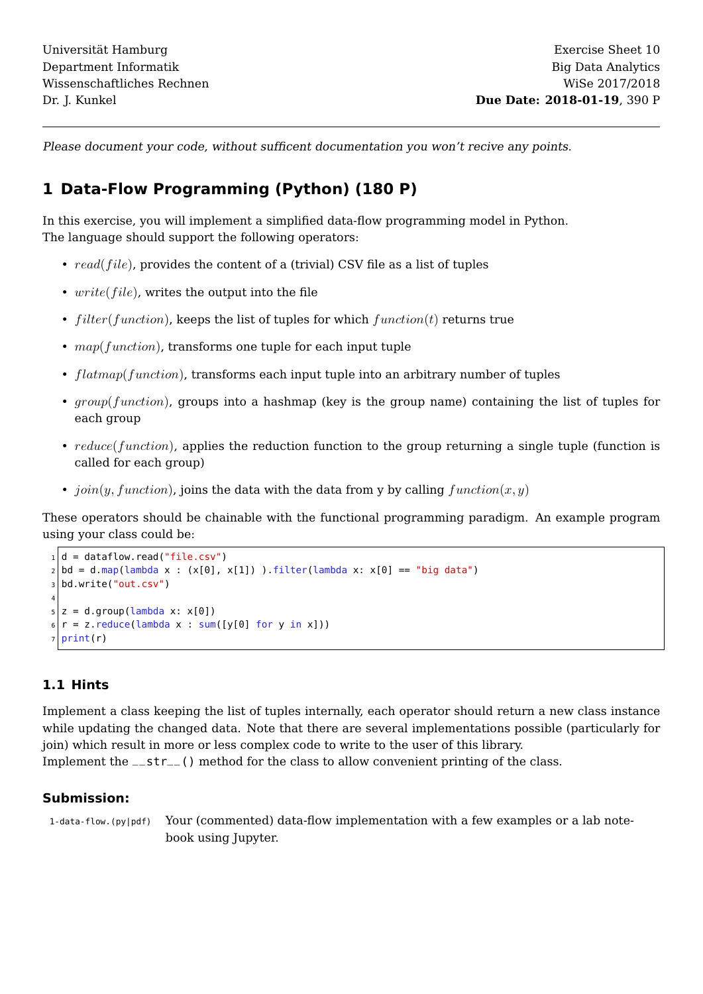Please document your code, without sufficent documentation you won't recive any points.

### **1 Data-Flow Programming (Python) (180 P)**

In this exercise, you will implement a simplified data-flow programming model in Python. The language should support the following operators:

- $read(file)$ , provides the content of a (trivial) CSV file as a list of tuples
- $write(file)$ , writes the output into the file
- $filter(function)$ , keeps the list of tuples for which  $function(t)$  returns true
- $map(function)$ , transforms one tuple for each input tuple
- $flatmap(function)$ , transforms each input tuple into an arbitrary number of tuples
- $group(function)$ , groups into a hashmap (key is the group name) containing the list of tuples for each group
- reduce(function), applies the reduction function to the group returning a single tuple (function is called for each group)
- join(y, function), joins the data with the data from y by calling function(x, y)

These operators should be chainable with the functional programming paradigm. An example program using your class could be:

```
_1 d = dataflow.read("file.csv")
|2|bd = d.map(lambda x : (x[0], x[1]) ).filter(lambda x: x[0] == "big data")
3 bd.write("out.csv")
4
s \mid z = d.group(lambda x: x[0])6 | r = z. reduce(lambda x : sum([y[0] for y in x]))
 print(r)
```
#### **1.1 Hints**

Implement a class keeping the list of tuples internally, each operator should return a new class instance while updating the changed data. Note that there are several implementations possible (particularly for join) which result in more or less complex code to write to the user of this library.

Implement the  $-$ str $-$  () method for the class to allow convenient printing of the class.

#### **Submission:**

1-data-flow.(py|pdf) Your (commented) data-flow implementation with a few examples or a lab notebook using Jupyter.